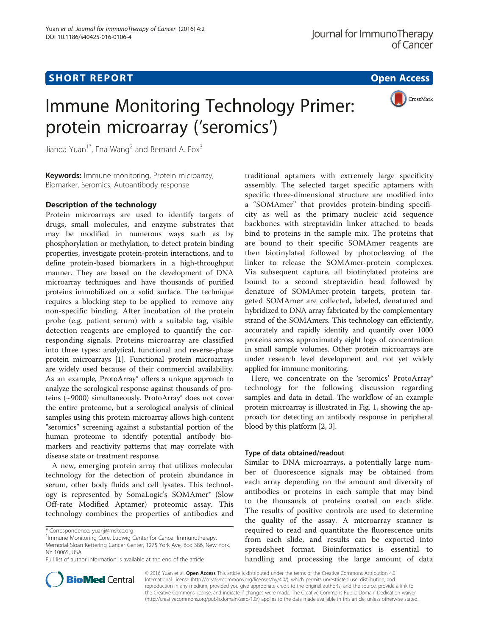# Short The Port of the Port of the Port of the Port of the Port of the Port of the Port of the Port of the Port

CrossMark

# Immune Monitoring Technology Primer: protein microarray ('seromics')

Jianda Yuan<sup>1\*</sup>, Ena Wang<sup>2</sup> and Bernard A. Fox<sup>3</sup>

Keywords: Immune monitoring, Protein microarray, Biomarker, Seromics, Autoantibody response

Protein microarrays are used to identify targets of drugs, small molecules, and enzyme substrates that may be modified in numerous ways such as by phosphorylation or methylation, to detect protein binding properties, investigate protein-protein interactions, and to define protein-based biomarkers in a high-throughput manner. They are based on the development of DNA microarray techniques and have thousands of purified proteins immobilized on a solid surface. The technique requires a blocking step to be applied to remove any non-specific binding. After incubation of the protein probe (e.g. patient serum) with a suitable tag, visible detection reagents are employed to quantify the corresponding signals. Proteins microarray are classified into three types: analytical, functional and reverse-phase protein microarrays [\[1](#page-2-0)]. Functional protein microarrays are widely used because of their commercial availability. As an example, ProtoArray® offers a unique approach to analyze the serological response against thousands of proteins (~9000) simultaneously. ProtoArray® does not cover the entire proteome, but a serological analysis of clinical samples using this protein microarray allows high-content "seromics" screening against a substantial portion of the human proteome to identify potential antibody biomarkers and reactivity patterns that may correlate with disease state or treatment response.

A new, emerging protein array that utilizes molecular technology for the detection of protein abundance in serum, other body fluids and cell lysates. This technology is represented by SomaLogic's SOMAmer® (Slow Off-rate Modified Aptamer) proteomic assay. This technology combines the properties of antibodies and

traditional aptamers with extremely large specificity assembly. The selected target specific aptamers with specific three-dimensional structure are modified into a "SOMAmer" that provides protein-binding specificity as well as the primary nucleic acid sequence backbones with streptavidin linker attached to beads bind to proteins in the sample mix. The proteins that are bound to their specific SOMAmer reagents are then biotinylated followed by photocleaving of the linker to release the SOMAmer-protein complexes. Via subsequent capture, all biotinylated proteins are bound to a second streptavidin bead followed by denature of SOMAmer-protein targets, protein targeted SOMAmer are collected, labeled, denatured and hybridized to DNA array fabricated by the complementary strand of the SOMAmers. This technology can efficiently, accurately and rapidly identify and quantify over 1000 proteins across approximately eight logs of concentration in small sample volumes. Other protein microarrays are under research level development and not yet widely applied for immune monitoring.

Here, we concentrate on the 'seromics' ProtoArray® technology for the following discussion regarding samples and data in detail. The workflow of an example protein microarray is illustrated in Fig. [1,](#page-1-0) showing the approach for detecting an antibody response in peripheral blood by this platform [\[2](#page-2-0), [3\]](#page-2-0).

## Type of data obtained/readout

Similar to DNA microarrays, a potentially large number of fluorescence signals may be obtained from each array depending on the amount and diversity of antibodies or proteins in each sample that may bind to the thousands of proteins coated on each slide. The results of positive controls are used to determine the quality of the assay. A microarray scanner is required to read and quantitate the fluorescence units from each slide, and results can be exported into spreadsheet format. Bioinformatics is essential to handling and processing the large amount of data



© 2016 Yuan et al. Open Access This article is distributed under the terms of the Creative Commons Attribution 4.0 International License [\(http://creativecommons.org/licenses/by/4.0/](http://creativecommons.org/licenses/by/4.0/)), which permits unrestricted use, distribution, and reproduction in any medium, provided you give appropriate credit to the original author(s) and the source, provide a link to the Creative Commons license, and indicate if changes were made. The Creative Commons Public Domain Dedication waiver [\(http://creativecommons.org/publicdomain/zero/1.0/](http://creativecommons.org/publicdomain/zero/1.0/)) applies to the data made available in this article, unless otherwise stated.

<sup>\*</sup> Correspondence: [yuanj@mskcc.org](mailto:yuanj@mskcc.org) <sup>1</sup>

<sup>&</sup>lt;sup>1</sup>Immune Monitoring Core, Ludwig Center for Cancer Immunotherapy, Memorial Sloan Kettering Cancer Center, 1275 York Ave, Box 386, New York, NY 10065, USA

Full list of author information is available at the end of the article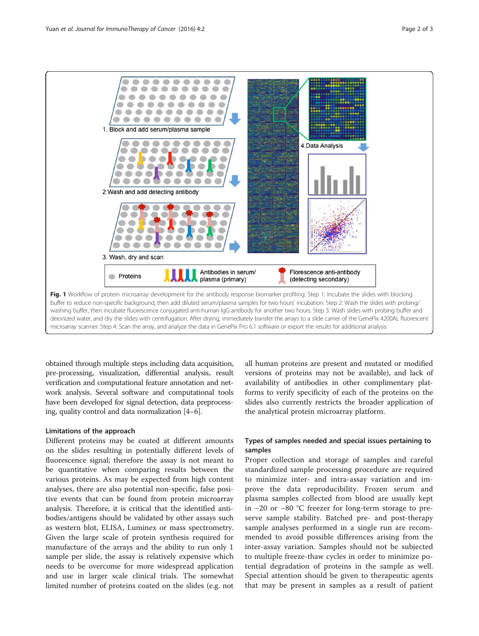<span id="page-1-0"></span>

obtained through multiple steps including data acquisition, pre-processing, visualization, differential analysis, result verification and computational feature annotation and network analysis. Several software and computational tools have been developed for signal detection, data preprocessing, quality control and data normalization [\[4](#page-2-0)–[6](#page-2-0)].

## Limitations of the approach

Different proteins may be coated at different amounts on the slides resulting in potentially different levels of fluorescence signal; therefore the assay is not meant to be quantitative when comparing results between the various proteins. As may be expected from high content analyses, there are also potential non-specific, false positive events that can be found from protein microarray analysis. Therefore, it is critical that the identified antibodies/antigens should be validated by other assays such as western blot, ELISA, Luminex or mass spectrometry. Given the large scale of protein synthesis required for manufacture of the arrays and the ability to run only 1 sample per slide, the assay is relatively expensive which needs to be overcome for more widespread application and use in larger scale clinical trials. The somewhat limited number of proteins coated on the slides (e.g. not

all human proteins are present and mutated or modified versions of proteins may not be available), and lack of availability of antibodies in other complimentary platforms to verify specificity of each of the proteins on the slides also currently restricts the broader application of the analytical protein microarray platform.

# Types of samples needed and special issues pertaining to samples

Proper collection and storage of samples and careful standardized sample processing procedure are required to minimize inter- and intra-assay variation and improve the data reproducibility. Frozen serum and plasma samples collected from blood are usually kept in −20 or −80 °C freezer for long-term storage to preserve sample stability. Batched pre- and post-therapy sample analyses performed in a single run are recommended to avoid possible differences arising from the inter-assay variation. Samples should not be subjected to multiple freeze-thaw cycles in order to minimize potential degradation of proteins in the sample as well. Special attention should be given to therapeutic agents that may be present in samples as a result of patient